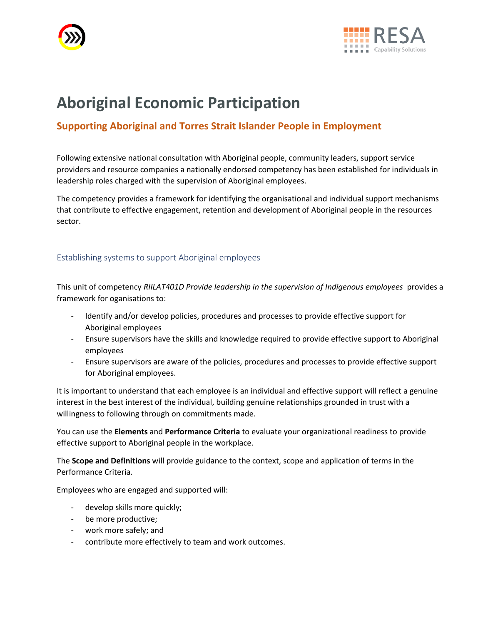



# **Aboriginal Economic Participation**

## **Supporting Aboriginal and Torres Strait Islander People in Employment**

Following extensive national consultation with Aboriginal people, community leaders, support service providers and resource companies a nationally endorsed competency has been established for individuals in leadership roles charged with the supervision of Aboriginal employees.

The competency provides a framework for identifying the organisational and individual support mechanisms that contribute to effective engagement, retention and development of Aboriginal people in the resources sector.

#### Establishing systems to support Aboriginal employees

This unit of competency *RIILAT401D Provide leadership in the supervision of Indigenous employees* provides a framework for oganisations to:

- Identify and/or develop policies, procedures and processes to provide effective support for Aboriginal employees
- Ensure supervisors have the skills and knowledge required to provide effective support to Aboriginal employees
- Ensure supervisors are aware of the policies, procedures and processes to provide effective support for Aboriginal employees.

It is important to understand that each employee is an individual and effective support will reflect a genuine interest in the best interest of the individual, building genuine relationships grounded in trust with a willingness to following through on commitments made.

You can use the **Elements** and **Performance Criteria** to evaluate your organizational readiness to provide effective support to Aboriginal people in the workplace.

The **Scope and Definitions** will provide guidance to the context, scope and application of terms in the Performance Criteria.

Employees who are engaged and supported will:

- develop skills more quickly;
- be more productive;
- work more safely; and
- contribute more effectively to team and work outcomes.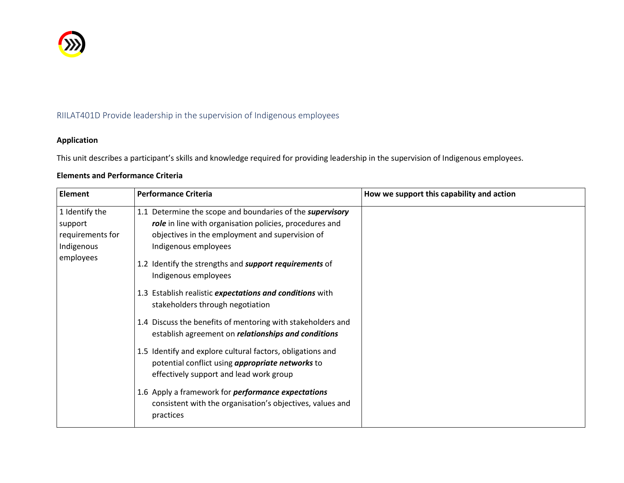

## RIILAT401D Provide leadership in the supervision of Indigenous employees

### **Application**

This unit describes a participant's skills and knowledge required for providing leadership in the supervision of Indigenous employees.

|  | <b>Elements and Performance Criteria</b> |  |
|--|------------------------------------------|--|
|--|------------------------------------------|--|

| <b>Element</b>   | <b>Performance Criteria</b>                                                                                                                                      | How we support this capability and action |
|------------------|------------------------------------------------------------------------------------------------------------------------------------------------------------------|-------------------------------------------|
| 1 Identify the   | 1.1 Determine the scope and boundaries of the supervisory                                                                                                        |                                           |
| support          | role in line with organisation policies, procedures and                                                                                                          |                                           |
| requirements for | objectives in the employment and supervision of                                                                                                                  |                                           |
| Indigenous       | Indigenous employees                                                                                                                                             |                                           |
| employees        | 1.2 Identify the strengths and support requirements of<br>Indigenous employees                                                                                   |                                           |
|                  | 1.3 Establish realistic expectations and conditions with<br>stakeholders through negotiation                                                                     |                                           |
|                  | 1.4 Discuss the benefits of mentoring with stakeholders and<br>establish agreement on <i>relationships and conditions</i>                                        |                                           |
|                  | 1.5 Identify and explore cultural factors, obligations and<br>potential conflict using <i>appropriate networks</i> to<br>effectively support and lead work group |                                           |
|                  | 1.6 Apply a framework for <i>performance expectations</i><br>consistent with the organisation's objectives, values and<br>practices                              |                                           |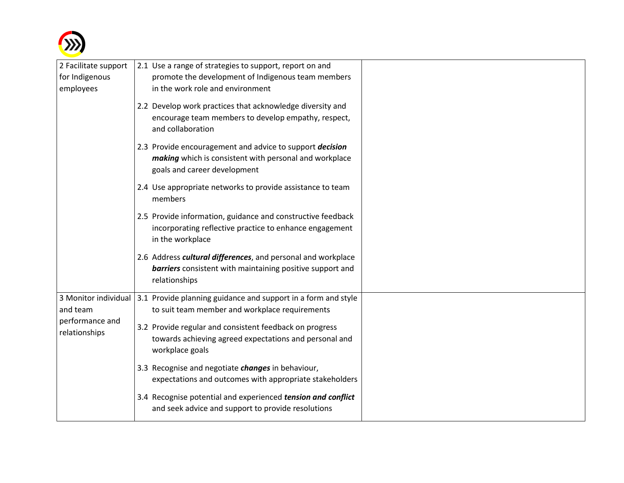

| 2 Facilitate support             | 2.1 Use a range of strategies to support, report on and                                                                                            |  |
|----------------------------------|----------------------------------------------------------------------------------------------------------------------------------------------------|--|
| for Indigenous                   | promote the development of Indigenous team members                                                                                                 |  |
| employees                        | in the work role and environment                                                                                                                   |  |
|                                  | 2.2 Develop work practices that acknowledge diversity and<br>encourage team members to develop empathy, respect,<br>and collaboration              |  |
|                                  | 2.3 Provide encouragement and advice to support decision<br>making which is consistent with personal and workplace<br>goals and career development |  |
|                                  | 2.4 Use appropriate networks to provide assistance to team<br>members                                                                              |  |
|                                  | 2.5 Provide information, guidance and constructive feedback<br>incorporating reflective practice to enhance engagement<br>in the workplace         |  |
|                                  | 2.6 Address cultural differences, and personal and workplace<br>barriers consistent with maintaining positive support and<br>relationships         |  |
| and team                         | 3 Monitor individual 3.1 Provide planning guidance and support in a form and style<br>to suit team member and workplace requirements               |  |
| performance and<br>relationships | 3.2 Provide regular and consistent feedback on progress<br>towards achieving agreed expectations and personal and<br>workplace goals               |  |
|                                  | 3.3 Recognise and negotiate changes in behaviour,<br>expectations and outcomes with appropriate stakeholders                                       |  |
|                                  | 3.4 Recognise potential and experienced tension and conflict<br>and seek advice and support to provide resolutions                                 |  |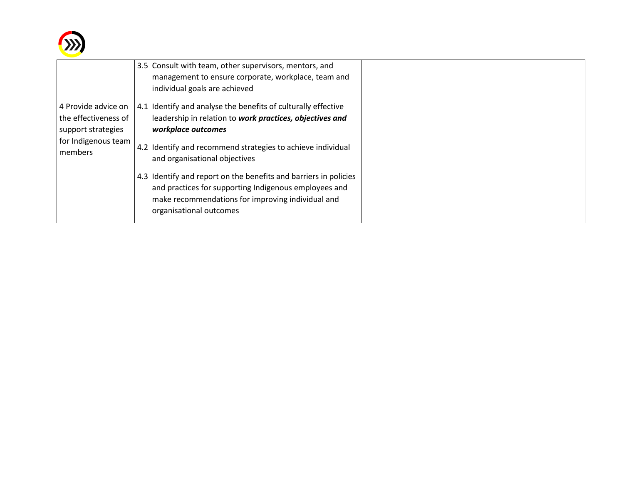

|                                                                                                     | 3.5 Consult with team, other supervisors, mentors, and<br>management to ensure corporate, workplace, team and<br>individual goals are achieved                                                                                                                                                                                                                                                                                                               |  |
|-----------------------------------------------------------------------------------------------------|--------------------------------------------------------------------------------------------------------------------------------------------------------------------------------------------------------------------------------------------------------------------------------------------------------------------------------------------------------------------------------------------------------------------------------------------------------------|--|
| 4 Provide advice on<br>the effectiveness of<br>support strategies<br>for Indigenous team<br>members | 4.1 Identify and analyse the benefits of culturally effective<br>leadership in relation to work practices, objectives and<br>workplace outcomes<br>4.2 Identify and recommend strategies to achieve individual<br>and organisational objectives<br>4.3 Identify and report on the benefits and barriers in policies<br>and practices for supporting Indigenous employees and<br>make recommendations for improving individual and<br>organisational outcomes |  |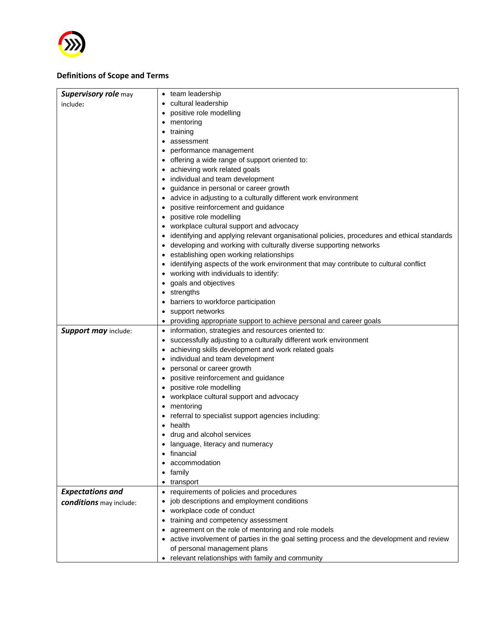

#### **Definitions of Scope and Terms**

| cultural leadership<br>include:<br>positive role modelling                                  |
|---------------------------------------------------------------------------------------------|
|                                                                                             |
|                                                                                             |
| mentoring                                                                                   |
| training                                                                                    |
| assessment                                                                                  |
| performance management                                                                      |
| offering a wide range of support oriented to:                                               |
| achieving work related goals                                                                |
| individual and team development                                                             |
| guidance in personal or career growth                                                       |
| advice in adjusting to a culturally different work environment                              |
| positive reinforcement and guidance                                                         |
| positive role modelling                                                                     |
| workplace cultural support and advocacy                                                     |
| identifying and applying relevant organisational policies, procedures and ethical standards |
| developing and working with culturally diverse supporting networks                          |
| establishing open working relationships                                                     |
| identifying aspects of the work environment that may contribute to cultural conflict        |
| working with individuals to identify:                                                       |
| goals and objectives                                                                        |
| strengths                                                                                   |
| barriers to workforce participation                                                         |
| support networks                                                                            |
| providing appropriate support to achieve personal and career goals                          |
| Support may include:<br>information, strategies and resources oriented to:                  |
| successfully adjusting to a culturally different work environment                           |
| achieving skills development and work related goals                                         |
| individual and team development                                                             |
| personal or career growth                                                                   |
| positive reinforcement and guidance                                                         |
| positive role modelling                                                                     |
| workplace cultural support and advocacy                                                     |
| mentoring                                                                                   |
| referral to specialist support agencies including:                                          |
| health                                                                                      |
| drug and alcohol services                                                                   |
| language, literacy and numeracy                                                             |
| financial                                                                                   |
| accommodation                                                                               |
| family                                                                                      |
| transport<br><b>Expectations and</b><br>requirements of policies and procedures             |
| job descriptions and employment conditions                                                  |
| conditions may include:<br>workplace code of conduct                                        |
| training and competency assessment                                                          |
| agreement on the role of mentoring and role models                                          |
| • active involvement of parties in the goal setting process and the development and review  |
| of personal management plans                                                                |
| • relevant relationships with family and community                                          |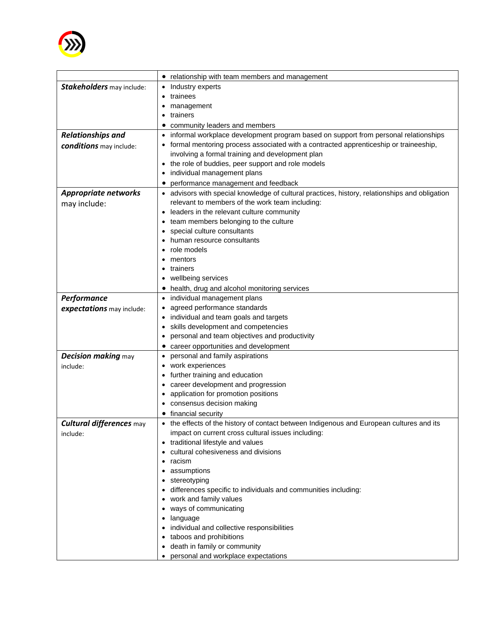

|                             | relationship with team members and management                                                  |
|-----------------------------|------------------------------------------------------------------------------------------------|
| Stakeholders may include:   | Industry experts                                                                               |
|                             | trainees                                                                                       |
|                             | management                                                                                     |
|                             | trainers                                                                                       |
|                             | community leaders and members                                                                  |
| <b>Relationships and</b>    | informal workplace development program based on support from personal relationships            |
| conditions may include:     | formal mentoring process associated with a contracted apprenticeship or traineeship,           |
|                             | involving a formal training and development plan                                               |
|                             | the role of buddies, peer support and role models                                              |
|                             | individual management plans                                                                    |
|                             | performance management and feedback                                                            |
| <b>Appropriate networks</b> | • advisors with special knowledge of cultural practices, history, relationships and obligation |
| may include:                | relevant to members of the work team including:                                                |
|                             | leaders in the relevant culture community                                                      |
|                             | team members belonging to the culture                                                          |
|                             | special culture consultants                                                                    |
|                             | human resource consultants                                                                     |
|                             | role models                                                                                    |
|                             | mentors                                                                                        |
|                             | trainers<br>$\bullet$                                                                          |
|                             | wellbeing services                                                                             |
|                             | health, drug and alcohol monitoring services                                                   |
| <b>Performance</b>          | individual management plans                                                                    |
| expectations may include:   | agreed performance standards                                                                   |
|                             | individual and team goals and targets                                                          |
|                             | skills development and competencies                                                            |
|                             | personal and team objectives and productivity                                                  |
|                             | career opportunities and development                                                           |
| <b>Decision making may</b>  | personal and family aspirations                                                                |
| include:                    | work experiences                                                                               |
|                             | further training and education                                                                 |
|                             | career development and progression                                                             |
|                             | application for promotion positions                                                            |
|                             | consensus decision making                                                                      |
|                             | financial security                                                                             |
| Cultural differences may    | the effects of the history of contact between Indigenous and European cultures and its         |
| include:                    | impact on current cross cultural issues including:                                             |
|                             | • traditional lifestyle and values                                                             |
|                             | cultural cohesiveness and divisions                                                            |
|                             | racism                                                                                         |
|                             | assumptions                                                                                    |
|                             | • stereotyping                                                                                 |
|                             | • differences specific to individuals and communities including:                               |
|                             | • work and family values                                                                       |
|                             | • ways of communicating                                                                        |
|                             | language                                                                                       |
|                             | • individual and collective responsibilities                                                   |
|                             | • taboos and prohibitions                                                                      |
|                             | death in family or community                                                                   |
|                             | personal and workplace expectations                                                            |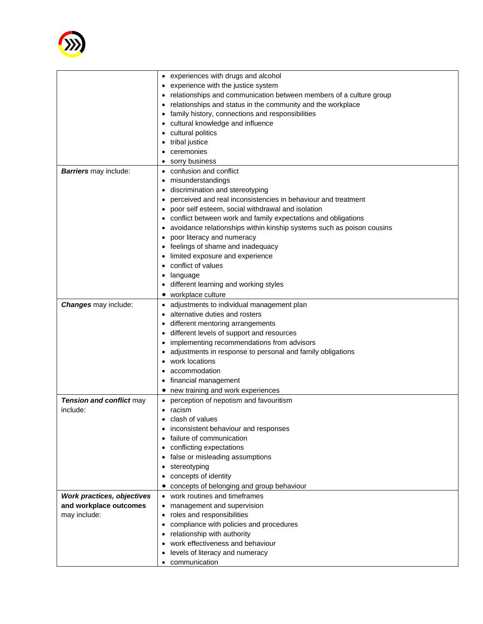

|                              | • experiences with drugs and alcohol                                    |
|------------------------------|-------------------------------------------------------------------------|
|                              | • experience with the justice system                                    |
|                              | relationships and communication between members of a culture group      |
|                              | relationships and status in the community and the workplace             |
|                              | family history, connections and responsibilities                        |
|                              | cultural knowledge and influence                                        |
|                              | cultural politics                                                       |
|                              | tribal justice                                                          |
|                              | ceremonies                                                              |
|                              |                                                                         |
|                              | sorry business                                                          |
| <b>Barriers</b> may include: | confusion and conflict                                                  |
|                              | misunderstandings                                                       |
|                              | discrimination and stereotyping                                         |
|                              | perceived and real inconsistencies in behaviour and treatment           |
|                              | poor self esteem, social withdrawal and isolation                       |
|                              | conflict between work and family expectations and obligations           |
|                              | • avoidance relationships within kinship systems such as poison cousins |
|                              | poor literacy and numeracy                                              |
|                              | feelings of shame and inadequacy                                        |
|                              | limited exposure and experience                                         |
|                              | conflict of values                                                      |
|                              | language                                                                |
|                              | different learning and working styles                                   |
|                              | workplace culture                                                       |
| <b>Changes</b> may include:  | adjustments to individual management plan                               |
|                              | alternative duties and rosters                                          |
|                              |                                                                         |
|                              | different mentoring arrangements                                        |
|                              | different levels of support and resources                               |
|                              | implementing recommendations from advisors                              |
|                              | adjustments in response to personal and family obligations              |
|                              | work locations                                                          |
|                              | accommodation                                                           |
|                              | financial management                                                    |
|                              | new training and work experiences                                       |
| Tension and conflict may     | perception of nepotism and favouritism                                  |
| include:                     | racism                                                                  |
|                              | clash of values                                                         |
|                              | inconsistent behaviour and responses                                    |
|                              | failure of communication                                                |
|                              | conflicting expectations                                                |
|                              | false or misleading assumptions                                         |
|                              | stereotyping                                                            |
|                              | concepts of identity                                                    |
|                              | concepts of belonging and group behaviour                               |
| Work practices, objectives   | work routines and timeframes                                            |
| and workplace outcomes       | management and supervision                                              |
|                              | roles and responsibilities                                              |
| may include:                 |                                                                         |
|                              | compliance with policies and procedures                                 |
|                              | relationship with authority                                             |
|                              | work effectiveness and behaviour                                        |
|                              | levels of literacy and numeracy                                         |
|                              | communication                                                           |